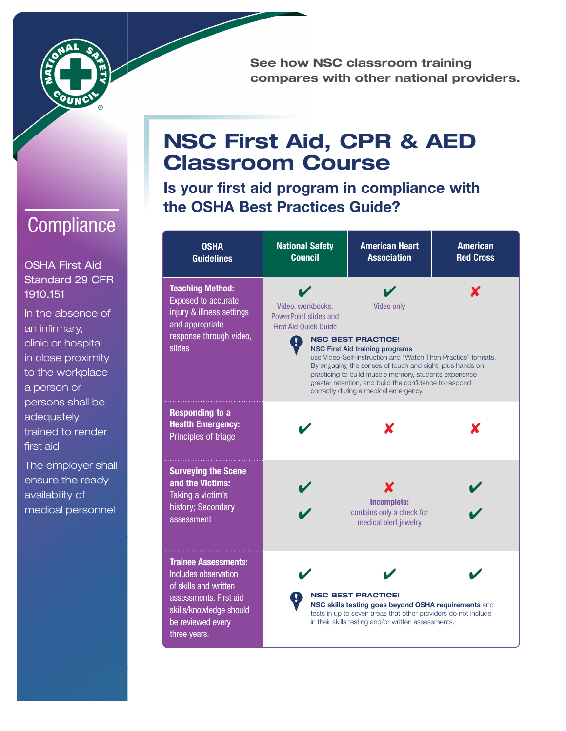

See how NSC classroom training compares with other national providers.

## **Compliance**

OSHA First Aid Standard 29 CFR 1910.151

In the absence of an infirmary, clinic or hospital in close proximity to the workplace a person or persons shall be adequately trained to render first aid

The employer shall ensure the ready availability of medical personnel

## NSC First Aid, CPR & AED Classroom Course

Is your first aid program in compliance with the OSHA Best Practices Guide?

| <b>OSHA</b><br><b>Guidelines</b>                                                                                                                                              | <b>National Safety</b><br><b>Council</b>                                                                                                                                                                                                                                                                                                                                                                                                                       | <b>American Heart</b><br><b>Association</b>                                                                                                                                                                | <b>American</b><br><b>Red Cross</b> |  |
|-------------------------------------------------------------------------------------------------------------------------------------------------------------------------------|----------------------------------------------------------------------------------------------------------------------------------------------------------------------------------------------------------------------------------------------------------------------------------------------------------------------------------------------------------------------------------------------------------------------------------------------------------------|------------------------------------------------------------------------------------------------------------------------------------------------------------------------------------------------------------|-------------------------------------|--|
| <b>Teaching Method:</b><br><b>Exposed to accurate</b><br>injury & illness settings<br>and appropriate<br>response through video,<br>slides                                    | X<br>Video, workbooks,<br>Video only<br>PowerPoint slides and<br><b>First Aid Quick Guide</b><br><b>NSC BEST PRACTICE!</b><br><b>NSC First Aid training programs</b><br>use Video-Self-Instruction and "Watch Then Practice" formats.<br>By engaging the senses of touch and sight, plus hands on<br>practicing to build muscle memory, students experience<br>greater retention, and build the confidence to respond<br>correctly during a medical emergency. |                                                                                                                                                                                                            |                                     |  |
| <b>Responding to a</b><br><b>Health Emergency:</b><br>Principles of triage                                                                                                    |                                                                                                                                                                                                                                                                                                                                                                                                                                                                |                                                                                                                                                                                                            |                                     |  |
| <b>Surveying the Scene</b><br>and the Victims:<br>Taking a victim's<br>history; Secondary<br>assessment                                                                       |                                                                                                                                                                                                                                                                                                                                                                                                                                                                | Х<br>Incomplete:<br>contains only a check for<br>medical alert jewelry                                                                                                                                     |                                     |  |
| <b>Trainee Assessments:</b><br><b>Includes observation</b><br>of skills and written<br>assessments. First aid<br>skills/knowledge should<br>be reviewed every<br>three years. |                                                                                                                                                                                                                                                                                                                                                                                                                                                                | <b>NSC BEST PRACTICE!</b><br>NSC skills testing goes beyond OSHA requirements and<br>tests in up to seven areas that other providers do not include<br>in their skills testing and/or written assessments. |                                     |  |